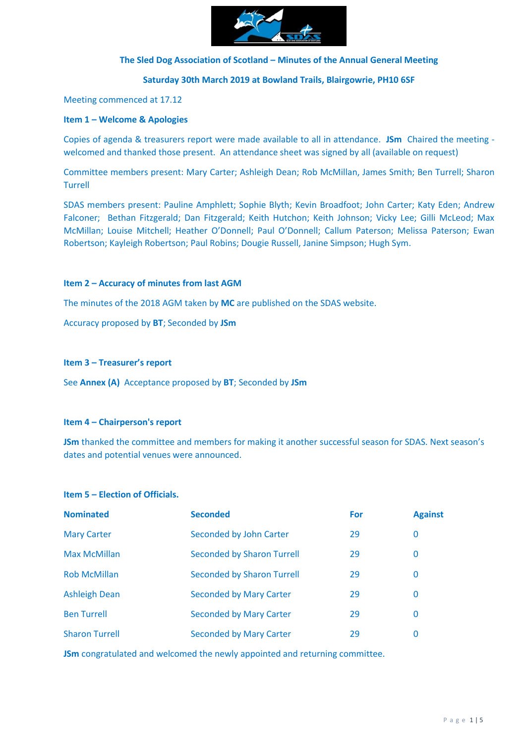

# **The Sled Dog Association of Scotland – Minutes of the Annual General Meeting**

# **Saturday 30th March 2019 at Bowland Trails, Blairgowrie, PH10 6SF**

Meeting commenced at 17.12

## **Item 1 – Welcome & Apologies**

Copies of agenda & treasurers report were made available to all in attendance. **JSm** Chaired the meeting welcomed and thanked those present. An attendance sheet was signed by all (available on request)

Committee members present: Mary Carter; Ashleigh Dean; Rob McMillan, James Smith; Ben Turrell; Sharon Turrell

SDAS members present: Pauline Amphlett; Sophie Blyth; Kevin Broadfoot; John Carter; Katy Eden; Andrew Falconer; Bethan Fitzgerald; Dan Fitzgerald; Keith Hutchon; Keith Johnson; Vicky Lee; Gilli McLeod; Max McMillan; Louise Mitchell; Heather O'Donnell; Paul O'Donnell; Callum Paterson; Melissa Paterson; Ewan Robertson; Kayleigh Robertson; Paul Robins; Dougie Russell, Janine Simpson; Hugh Sym.

## **Item 2 – Accuracy of minutes from last AGM**

The minutes of the 2018 AGM taken by **MC** are published on the SDAS website.

Accuracy proposed by **BT**; Seconded by **JSm**

## **Item 3 – Treasurer's report**

See **Annex (A)** Acceptance proposed by **BT**; Seconded by **JSm**

#### **Item 4 – Chairperson's report**

**JSm** thanked the committee and members for making it another successful season for SDAS. Next season's dates and potential venues were announced.

## **Item 5 – Election of Officials.**

| <b>Nominated</b>      | <b>Seconded</b>                   | For | <b>Against</b> |
|-----------------------|-----------------------------------|-----|----------------|
| <b>Mary Carter</b>    | Seconded by John Carter           | 29  | 0              |
| <b>Max McMillan</b>   | <b>Seconded by Sharon Turrell</b> | 29  | 0              |
| <b>Rob McMillan</b>   | <b>Seconded by Sharon Turrell</b> | 29  | 0              |
| <b>Ashleigh Dean</b>  | <b>Seconded by Mary Carter</b>    | 29  | 0              |
| <b>Ben Turrell</b>    | <b>Seconded by Mary Carter</b>    | 29  | 0              |
| <b>Sharon Turrell</b> | <b>Seconded by Mary Carter</b>    | 29  | 0              |

**JSm** congratulated and welcomed the newly appointed and returning committee.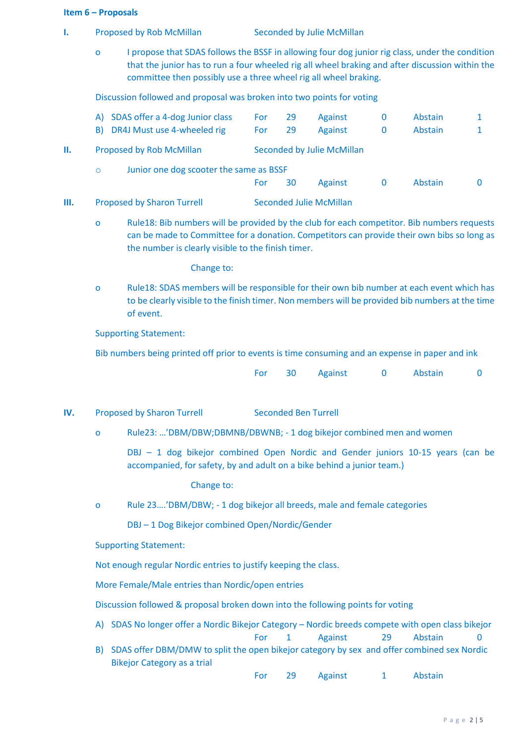#### **Item 6 – Proposals**

- **I.** Proposed by Rob McMillan Seconded by Julie McMillan
	- o I propose that SDAS follows the BSSF in allowing four dog junior rig class, under the condition that the junior has to run a four wheeled rig all wheel braking and after discussion within the committee then possibly use a three wheel rig all wheel braking.

Discussion followed and proposal was broken into two points for voting

|               | B)                                      | A) SDAS offer a 4-dog Junior class<br>DR4J Must use 4-wheeled rig | For<br>For | 29<br>29                   | Against<br>Against | 0<br>0 | Abstain<br>Abstain |  |
|---------------|-----------------------------------------|-------------------------------------------------------------------|------------|----------------------------|--------------------|--------|--------------------|--|
| н.<br>$\circ$ |                                         | Proposed by Rob McMillan                                          |            | Seconded by Julie McMillan |                    |        |                    |  |
|               | Junior one dog scooter the same as BSSF |                                                                   |            |                            |                    |        |                    |  |
|               |                                         |                                                                   | For        | 30                         | <b>Against</b>     |        | Abstain            |  |
|               |                                         |                                                                   |            |                            |                    |        |                    |  |

**III.** Proposed by Sharon Turrell Seconded Julie McMillan

o Rule18: Bib numbers will be provided by the club for each competitor. Bib numbers requests can be made to Committee for a donation. Competitors can provide their own bibs so long as the number is clearly visible to the finish timer.

Change to:

o Rule18: SDAS members will be responsible for their own bib number at each event which has to be clearly visible to the finish timer. Non members will be provided bib numbers at the time of event.

Supporting Statement:

Bib numbers being printed off prior to events is time consuming and an expense in paper and ink

For 30 Against 0 Abstain 0

- **IV.** Proposed by Sharon Turrell Seconded Ben Turrell
	- o Rule23: …'DBM/DBW;DBMNB/DBWNB; 1 dog bikejor combined men and women

DBJ – 1 dog bikejor combined Open Nordic and Gender juniors 10-15 years (can be accompanied, for safety, by and adult on a bike behind a junior team.)

Change to:

o Rule 23….'DBM/DBW; - 1 dog bikejor all breeds, male and female categories

DBJ – 1 Dog Bikejor combined Open/Nordic/Gender

Supporting Statement:

Not enough regular Nordic entries to justify keeping the class.

More Female/Male entries than Nordic/open entries

Discussion followed & proposal broken down into the following points for voting

A) SDAS No longer offer a Nordic Bikejor Category – Nordic breeds compete with open class bikejor For 1 Against 29 Abstain 0

B) SDAS offer DBM/DMW to split the open bikejor category by sex and offer combined sex Nordic Bikejor Category as a trial

For 29 Against 1 Abstain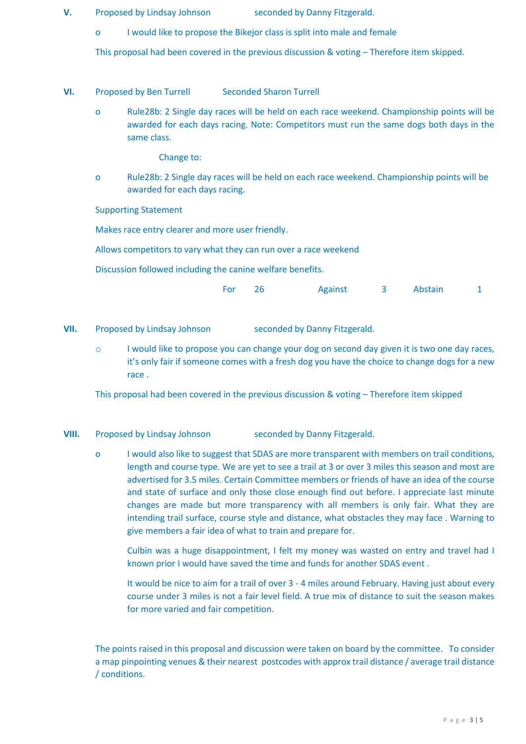- **V.** Proposed by Lindsay Johnson seconded by Danny Fitzgerald.
	- o I would like to propose the Bikejor class is split into male and female

This proposal had been covered in the previous discussion & voting – Therefore item skipped.

- **VI.** Proposed by Ben Turrell Seconded Sharon Turrell
	- o Rule28b: 2 Single day races will be held on each race weekend. Championship points will be awarded for each days racing. Note: Competitors must run the same dogs both days in the same class.

Change to:

o Rule28b: 2 Single day races will be held on each race weekend. Championship points will be awarded for each days racing.

Supporting Statement

Makes race entry clearer and more user friendly.

Allows competitors to vary what they can run over a race weekend

Discussion followed including the canine welfare benefits.

For 26 Against 3 Abstain 1

- **VII.** Proposed by Lindsay Johnson seconded by Danny Fitzgerald.
	- $\circ$  I would like to propose you can change your dog on second day given it is two one day races, it's only fair if someone comes with a fresh dog you have the choice to change dogs for a new race .

This proposal had been covered in the previous discussion & voting – Therefore item skipped

- **VIII.** Proposed by Lindsay Johnson seconded by Danny Fitzgerald.
	- o I would also like to suggest that SDAS are more transparent with members on trail conditions, length and course type. We are yet to see a trail at 3 or over 3 miles this season and most are advertised for 3.5 miles. Certain Committee members or friends of have an idea of the course and state of surface and only those close enough find out before. I appreciate last minute changes are made but more transparency with all members is only fair. What they are intending trail surface, course style and distance, what obstacles they may face . Warning to give members a fair idea of what to train and prepare for.

Culbin was a huge disappointment, I felt my money was wasted on entry and travel had I known prior I would have saved the time and funds for another SDAS event .

It would be nice to aim for a trail of over 3 - 4 miles around February. Having just about every course under 3 miles is not a fair level field. A true mix of distance to suit the season makes for more varied and fair competition.

The points raised in this proposal and discussion were taken on board by the committee. To consider a map pinpointing venues & their nearest postcodes with approx trail distance / average trail distance / conditions.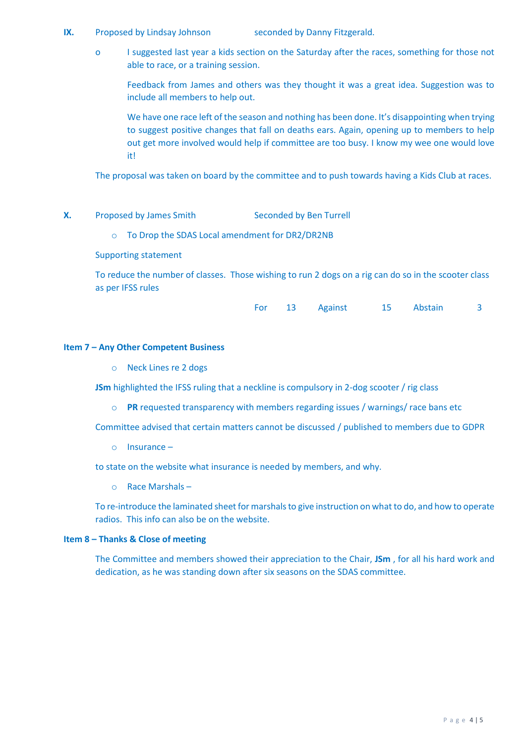- **IX.** Proposed by Lindsay Johnson seconded by Danny Fitzgerald.
	- o I suggested last year a kids section on the Saturday after the races, something for those not able to race, or a training session.

Feedback from James and others was they thought it was a great idea. Suggestion was to include all members to help out.

We have one race left of the season and nothing has been done. It's disappointing when trying to suggest positive changes that fall on deaths ears. Again, opening up to members to help out get more involved would help if committee are too busy. I know my wee one would love it!

The proposal was taken on board by the committee and to push towards having a Kids Club at races.

- **X.** Proposed by James Smith Seconded by Ben Turrell
	- o To Drop the SDAS Local amendment for DR2/DR2NB

# Supporting statement

To reduce the number of classes. Those wishing to run 2 dogs on a rig can do so in the scooter class as per IFSS rules

For 13 Against 15 Abstain 3

# **Item 7 – Any Other Competent Business**

o Neck Lines re 2 dogs

**JSm** highlighted the IFSS ruling that a neckline is compulsory in 2-dog scooter / rig class

o **PR** requested transparency with members regarding issues / warnings/ race bans etc

Committee advised that certain matters cannot be discussed / published to members due to GDPR

o Insurance –

to state on the website what insurance is needed by members, and why.

o Race Marshals –

To re-introduce the laminated sheet for marshals to give instruction on what to do, and how to operate radios. This info can also be on the website.

#### **Item 8 – Thanks & Close of meeting**

The Committee and members showed their appreciation to the Chair, **JSm** , for all his hard work and dedication, as he was standing down after six seasons on the SDAS committee.